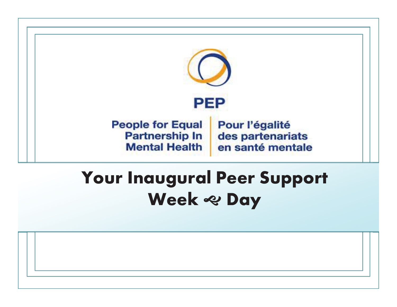

### Your Inaugural Peer Support Week & Day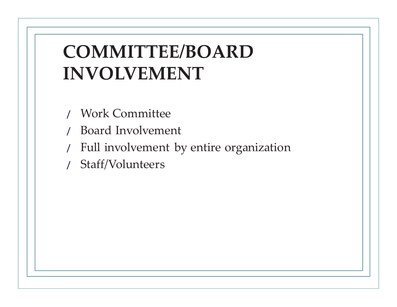## **COMMITTEE/BOARD INVOLVEMENT**

- / Work Committee
- / Board Involvement
- Full involvement by entire organization
- / Staff/Volunteers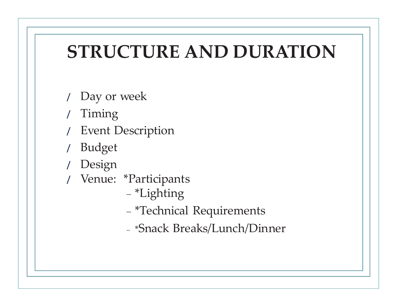# **STRUCTURE AND DURATION**

- / Day or week
- / Timing
- **Event Description**
- / Budget
- / Design
- / Venue: \*Participants
	- \*Lighting
	- \*Technical Requirements
	- \*Snack Breaks/Lunch/Dinner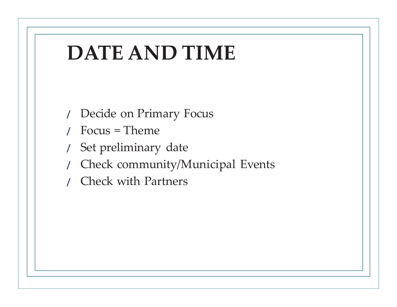

- / Decide on Primary Focus
- / Focus = Theme
- / Set preliminary date
- / Check community/Municipal Events
- / Check with Partners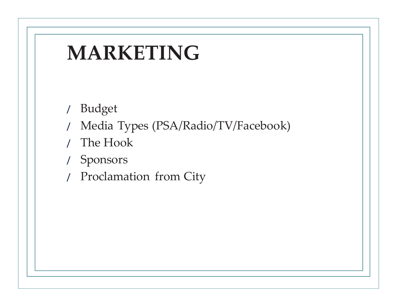# **MARKETING**

- / Budget
- / Media Types (PSA/Radio/TV/Facebook)
- / The Hook
- / Sponsors
- / Proclamation from City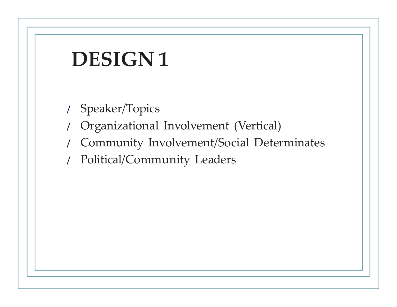# **DESIGN 1**

- / Speaker/Topics
- / Organizational Involvement (Vertical)
- / Community Involvement/Social Determinates
- / Political/Community Leaders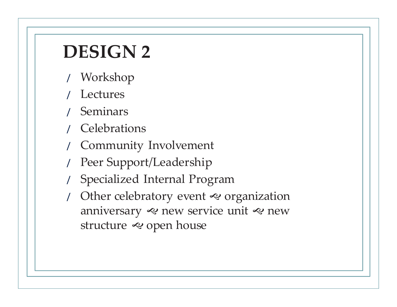## **DESIGN 2**

- / Workshop
- **Lectures**
- / Seminars
- / Celebrations
- / Community Involvement
- Peer Support/Leadership
- / Specialized Internal Program
- Other celebratory event  $\ll$  organization anniversary  $\ll$  new service unit  $\ll$  new structure  $\bm{\approx}$  open house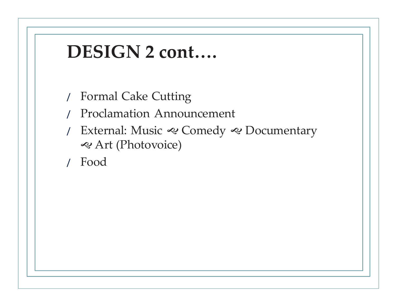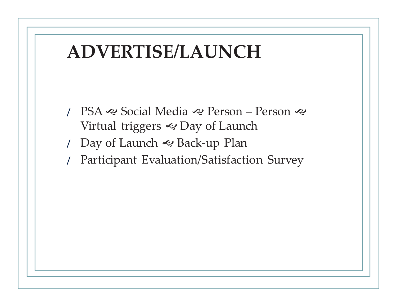#### **ADVERTISE/LAUNCH**

- / PSA ৰু Social Media ৰু Person Person ৰু Virtual triggers & Day of Launch
- / Day of Launch J Back-up Plan
- / Participant Evaluation/Satisfaction Survey